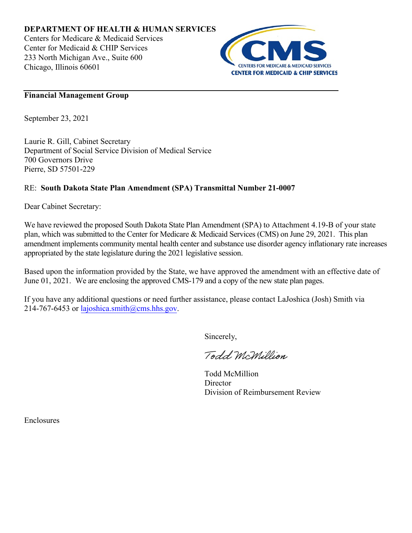

## **Financial Management Group**

September 23, 2021

Laurie R. Gill, Cabinet Secretary Department of Social Service Division of Medical Service 700 Governors Drive Pierre, SD 57501-229

## RE: **South Dakota State Plan Amendment (SPA) Transmittal Number 21-0007**

Dear Cabinet Secretary:

We have reviewed the proposed South Dakota State Plan Amendment (SPA) to Attachment 4.19-B of your state plan, which was submitted to the Center for Medicare & Medicaid Services (CMS) on June 29, 2021. This plan amendment implements community mental health center and substance use disorder agency inflationary rate increases appropriated by the state legislature during the 2021 legislative session.

Based upon the information provided by the State, we have approved the amendment with an effective date of June 01, 2021. We are enclosing the approved CMS-179 and a copy of the new state plan pages.

If you have any additional questions or need further assistance, please contact LaJoshica (Josh) Smith via 214-767-6453 or lajoshica.smith $@cms.$ hhs.gov.

Sincerely,

Todd McMillion

Todd McMillion **Director** Division of Reimbursement Review

Enclosures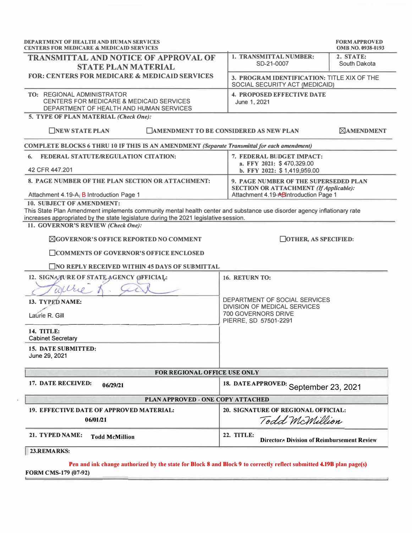| <b>DEPARTMENT OF HEALTH AND HUMAN SERVICES</b><br><b>CENTERS FOR MEDICARE &amp; MEDICAID SERVICES</b>                                                                                                                                                                              |                                                                                                                                 | <b>FORM APPROVED</b><br><b>OMB NO. 0938-0193</b> |
|------------------------------------------------------------------------------------------------------------------------------------------------------------------------------------------------------------------------------------------------------------------------------------|---------------------------------------------------------------------------------------------------------------------------------|--------------------------------------------------|
| <b>TRANSMITTAL AND NOTICE OF APPROVAL OF</b><br><b>STATE PLAN MATERIAL</b>                                                                                                                                                                                                         | 1. TRANSMITTAL NUMBER:<br>SD-21-0007                                                                                            | 2. STATE:<br>South Dakota                        |
| <b>FOR: CENTERS FOR MEDICARE &amp; MEDICAID SERVICES</b>                                                                                                                                                                                                                           | 3. PROGRAM IDENTIFICATION: TITLE XIX OF THE<br>SOCIAL SECURITY ACT (MEDICAID)                                                   |                                                  |
| TO: REGIONAL ADMINISTRATOR<br><b>CENTERS FOR MEDICARE &amp; MEDICAID SERVICES</b><br>DEPARTMENT OF HEALTH AND HUMAN SERVICES                                                                                                                                                       | <b>4. PROPOSED EFFECTIVE DATE</b><br>June 1, 2021                                                                               |                                                  |
| 5. TYPE OF PLAN MATERIAL (Check One):<br><b>NEW STATE PLAN</b>                                                                                                                                                                                                                     | <b>EXAMENDMENT TO BE CONSIDERED AS NEW PLAN</b>                                                                                 | <b>ZAMENDMENT</b>                                |
| COMPLETE BLOCKS 6 THRU 10 IF THIS IS AN AMENDMENT (Separate Transmittal for each amendment)                                                                                                                                                                                        |                                                                                                                                 |                                                  |
| <b>FEDERAL STATUTE/REGULATION CITATION:</b><br>6.<br>42 CFR 447,201                                                                                                                                                                                                                | 7. FEDERAL BUDGET IMPACT:<br>a. FFY 2021: \$470,329.00<br>b. FFY 2022: \$1,419,959.00                                           |                                                  |
| 8. PAGE NUMBER OF THE PLAN SECTION OR ATTACHMENT:<br>Attachment 4.19-A, B Introduction Page 1                                                                                                                                                                                      | 9. PAGE NUMBER OF THE SUPERSEDED PLAN<br><b>SECTION OR ATTACHMENT (If Applicable):</b><br>Attachment 4.19-ABIntroduction Page 1 |                                                  |
| 10. SUBJECT OF AMENDMENT:<br>This State Plan Amendment implements community mental health center and substance use disorder agency inflationary rate<br>increases appropriated by the state legislature during the 2021 legislative session.<br>11. GOVERNOR'S REVIEW (Check One): |                                                                                                                                 |                                                  |
| <b><i>NGOVERNOR'S OFFICE REPORTED NO COMMENT</i></b><br>□ COMMENTS OF GOVERNOR'S OFFICE ENCLOSED<br>$\Box$ NO REPLY RECEIVED WITHIN 45 DAYS OF SUBMITTAL                                                                                                                           | $\Box$ OTHER, AS SPECIFIED:                                                                                                     |                                                  |
| 12. SIGNATURE OF STATE AGENCY OFFICIAL:<br>Wilte                                                                                                                                                                                                                                   | 16. RETURN TO:                                                                                                                  |                                                  |
| 13. TYPED NAME:<br>Laúrie R. Gill<br><b>14. TITLE:</b><br><b>Cabinet Secretary</b>                                                                                                                                                                                                 | DEPARTMENT OF SOCIAL SERVICES<br><b>DIVISION OF MEDICAL SERVICES</b><br><b>700 GOVERNORS DRIVE</b><br>PIERRE, SD 57501-2291     |                                                  |
| <b>15. DATE SUBMITTED:</b><br>June 29, 2021                                                                                                                                                                                                                                        |                                                                                                                                 |                                                  |
| FOR REGIONAL OFFICE USE ONLY                                                                                                                                                                                                                                                       |                                                                                                                                 |                                                  |
| 17. DATE RECEIVED:<br>06/29/21                                                                                                                                                                                                                                                     | 18. DATE APPROVED: September 23, 2021                                                                                           |                                                  |
| PLAN APPROVED - ONE COPY ATTACHED                                                                                                                                                                                                                                                  |                                                                                                                                 |                                                  |
| 19. EFFECTIVE DATE OF APPROVED MATERIAL:<br>06/01/21                                                                                                                                                                                                                               | 20. SIGNATURE OF REGIONAL OFFICIAL:<br>Todd McMillion                                                                           |                                                  |
| 21. TYPED NAME:<br><b>Todd McMillion</b>                                                                                                                                                                                                                                           | 22. TITLE:<br><b>Directora Division of Reimbursement Review</b>                                                                 |                                                  |
| 23.REMARKS:                                                                                                                                                                                                                                                                        |                                                                                                                                 |                                                  |
| Pen and ink change authorized by the state for Block 8 and Block 9 to correctly reflect submitted 4.19B plan page(s)                                                                                                                                                               |                                                                                                                                 |                                                  |

**FORM CMS-179 (07-92)**